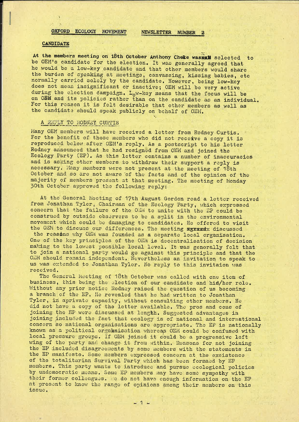## OXFORD ECOLOGY MOVEMENT NEWSLETTER NUMBER 2

#### **CANDIDATE**

At the members meeting on 18th October Anthony Cheke was gail selected to be OEM's candidate for the election. It was generally agreed that he would be a low-key candidate and that other members would share the burden of speaking at meetings, canvassing, kissing babies, etc normally carried solely by the candidate. However, being low-key does not mean insignificant or inactive; OEM will be very active during the election campaign. Low-key means that the focus will be on OEM and its policies rather than on the candidate as an individual. For this reason it is felt desirable that other members as well as the candidate should speak publicly on behalf of OEM.

### A REPLY TO RODNEY CURTIS

Many OEM members will have received a letter from Rodney Curtis. For the benefit of those members who did not receive a copy it is reproduced below after OEM's reply. As <sup>a</sup> postscript to his letter Rodney announced that he had resigned from OEM and joined the Ecology Party (EP). As this letter contains <sup>a</sup> number of inaccuracies and is asking other members to withdraw their support <sup>a</sup> reply is necessary; Hany members were not present at the meeting of 18th October and so are not aware of the facts and of the opinion of the majority of members present at that meeting. The meeting of Monday 30th October approved the following reply:

At the General Meeting of 17th August Gordon read a letter received from Jonathan Tyler, Chairman of the Ecology Party, which expressed concern that the failure of the OEM to unite with the EP could be construed by outside observers to be <sup>a</sup> split in the environmental movement which could be damaging to candidates. He offered to visit the OEM to discuss our differences. The meeting agrees discussed

the reasins why OEM was founded as a separate local organisation. One of the key principles of the OEM is decentralisation of decision making to the lowest possible local level. It was generally felt that to join <sup>a</sup> national party would go against this principle and that the OEM should remain independent. Nevertheless an invitation to speak to us was extended to Jonathan Tyler. No reply to this invitaion was received.

The General Meeting of 18th October was called with one item of business, this being the election of our candidate and hid/her role. Without any prior notice Rodney raised the question of us becoming <sup>a</sup> branch of the EP. He revealed that he had written to Jonathan Tyler, in aprivate capacity, without consulting other members. He did not have <sup>a</sup> copy of the letter available. The pros and cons of joining the EP were discussed at lenghh. Suggested advantages in joining included the fact that ecology is of national and international concern so national organisations are appropriate. The EP is nationally known as <sup>a</sup> political orgahnisation whereas OEM could be confused with local pressure groups. If OEM joined it Could be <sup>a</sup> progressive left wing of the party and change it from within. Reasons for not joining the EP included disagreements by some members with the statements in the EP manifesto. Some members expressed concern at the excistonce of the totalitarian Survival Party which has been formaed by EP members. This party wants to introduce and pursue ecological policies by undemocratic means. Some EP members may have some sympathy with their former colleagues. we do not have enough information on the EP at present to know the range of opinions among their members on this issue.

 $-1.1$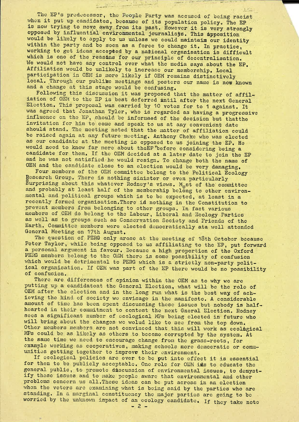The EP's predecessor, the People Party was accused of being racist when it put up candidates, because of its population policy. The EP when to pactup candidates, because of its population policy. The EP<br>is now trying to move away from its past. However it is very strongly opposed by influential environmental journalisys. This apposition would be likely to apply to us unless we could maintain our identity within the party and be seen as <sup>a</sup> force to change it. In practice, working to get ideas accepted by <sup>a</sup> national organisation is difficult which is one of the reasons for our principle of decentralisation. We would not have any control over what the media says about the EP.<br>Affiliation would be unlikely to increase our membership. Local participation in OEM is more likely if OEM remains distinctively local. Through our publike meetings and posters our name is now known and <sup>a</sup> change at this stage would be confusing.

1.- \_'\_\_£\_..... . . ' "" <sup>I</sup> . - -- <sup>I</sup> <sup>I</sup> "<sup>F</sup>

..

\_u.—\_\_-—-— . \_ <sup>H</sup> . .

 $\frac{1}{2}$ 

I\_.\_\_\_. ..-

 $L_{\rm{max}}$  , by ,  $L_{\rm{max}}$  ,  $L_{\rm{max}}$ 

 $\sqrt{2}$ 

Following this discussion it was proposed that the matter of affiliation of OEM to the EP is best deferred mntil after the next General Election. This proposal was carried by <sup>10</sup> votes for to <sup>1</sup> against. It was agreed that Jonathan Tyler, who is regarded as having <sup>a</sup> progressive influence on the EP, should be informaed of the decision but thatthe invitation for him to come and speak to us at any convenient date should stand. The meeting noted that the matter of affiliation could be raised again at any future meeting. Anthony Cheke who was elected as our candidate at the meeting is Opposed to us joining the EP. He would need to know far more about theEP'before considering being <sup>a</sup> candidate for them. If the OEM decided at <sup>a</sup> later date to join the EP and he was not satisfied he would resign. To change both the name of OEM and the candidate close to an election would be very damaging.

Four members of the OEM committee belong to the Political Ecology gesearch Group. There is nothing sinister or even particularly surprising about this whatever Rodney's views. Most of the committee and probably at least half of the membership belong to other environmental and political groups which is to be expected, at least in a recently formed organisation. There id nothing in the Constitution to prevent members from belonging to other groups. In fact various members of OEM do belong to the Labour, Liberal and Ecology Parties as well as to groups such as Conservation Society and Friends of the Earth. Committee members were elected democratically ata well attended General Meeting on 17th August.

The question of PERG only arose at the meeting of 18th October because Peter Taylor, while being opposed to us affiliating to the EP, put forward <sup>a</sup> personal argument in favour. Because <sup>a</sup> high preportion of the Oxford PERG members belong to the OEM there is some possibility of confusion which would be detrimental to PERG which is <sup>a</sup> strictly non—party political organisation. If OEM was part of the EP there would be no possibility of confusion.

There are differences of opinion within the OEM as to why we are putting up <sup>a</sup> candidateat the General Election, what will be the role of OEM after the election and in the long run what is the best way of ach ieving the kind of society we envisage in the manifesto. <sup>A</sup> considerable amount of time has been spent discussing these issues but nobody is halfhearted in their commitment to contest the next Gneral Election. Rodney sees <sup>a</sup> significant number of ecological MPs being elected in future who will bring about the changes we wolud like to see from the top down. Other members members are not convinced that this will work as ecological MPs could be as likely as others to become corrupted by the system. At the same time we need to encourage change from the grass-roots, for example working as cooperatives, making schools more democratic or communities getting together to improve their environment.

If ecological policies are ever to be put into effect it is essential for them to be publicly acceptable. One role for OEM ids to educate the general public, to promote discussion of environmental issues, to demyst ify these issues and to make people aware that environmental and other problems concern us all.These ideas can be put across in an election when the voters are examining what is being said by the parties who are standing. In <sup>a</sup> marginal constituency the major parties are going to be worried by the unknown impact of an ecology candidate. If they take note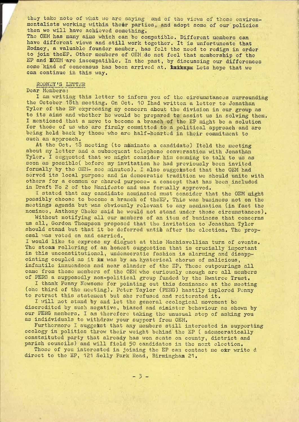they take note of what we are saying and of the views of those environmentalists working within their parties, and adopt some of our policies then we will have achieved something.

The OEM has many aims which can be compatible. Different members can have different views and still work together. It is unfortuneate that Rodney, a valuable founder member, has felt the need to redign in order to join theEP. Other members of OEM do not feel that membership of the EP and EOEM'are incompatible. In the past, by discussing our differences some kind of concensus has been arrived at. Exthenx Lets hope that we can continue in this way.

### RODNEY'S LETTER

Dear Members:

I am writing this letter to inform you of the circumstances surrounding the October 18th meeting. On Oct. <sup>10</sup> Ihad written <sup>a</sup> letter to Jonathan Tyler of the EP expressing my concern about the division in our group as to its aims and whether he would be prepared to assist us in solving them. I mentioned that a move to become a branch of the EP might be a solution for those of us who are firmly committed to <sup>a</sup> political approach and are being held back by those who are half-hearted in their commitment to such an approach.

At the Oct. 18 meeting (to nominate a candidate) Itold the meeting about my letter and <sup>a</sup> subsequent telephone conversation with Jonathan Tyler. I suggested that we might consider him comming to talk to us as soon as possible( before my invitation he had previously been invited formally by the OEM- see minutes). I also suggetsted that the OEM had served its local purpose and in democratic tradition we should unite with others for <sup>a</sup> common or shared purpose- <sup>a</sup> concept that has been included in Draft No 2 of the Manifesto and was formally approved.

I stated that any candidate nominated must consider that the OEM might possibly choose to become <sup>a</sup> branch of theEP. This was business not on the meetings agenda but was obviously relevant to any nomination (in fact the nominee, Anthony Cheke said he would not stand under those circumstances).

Without notifying all our members of an item of business that concerns us all, Gordon Thompson proposed that the invitation to Jonathan Tyler should stand but that it be deferred untid after the election. The proposal was voted on and carried.

I would like to express my disgust at this Machiavellian turn of events. The steam rollering of an honest suggestion that is crucially important in this unconstitutional, undemocratic fashion is alarming and disapp ointing coupled as it is was by an hysterical chorus of malicious, infantile innuendoes and near slander of the EP. These outpourings all came from those members of the OEM who curiously enough are all members of PERG a supposedly non-political group funded by the Rwntree Trust.

I thank Penny Newsome for pointing out this dominance at the meeting (one third of the meeting). Peter Taylor (PERG) hastily implored Penny to retract this statement but she refused and reiterated it.

I will not stand by and let the general ecological movement be discredited by such negative, biased and sinister behaviour as shown by our PERG members. I am therefore taking the unusual step of asking you as indidviduals to withdraw your support from OEM.

Furthermore I suggetst that any members still interested in supporting ecology in politics throw their weight behind the EP ( ademocratically constsituted party that already has won seats on county, district and parish councils) and will field 50 candidates in the next election.

Those of you interested in joining the EP can contact me otr write d direct to the EP, <sup>121</sup> Selly Park Road, Birmingham 21.